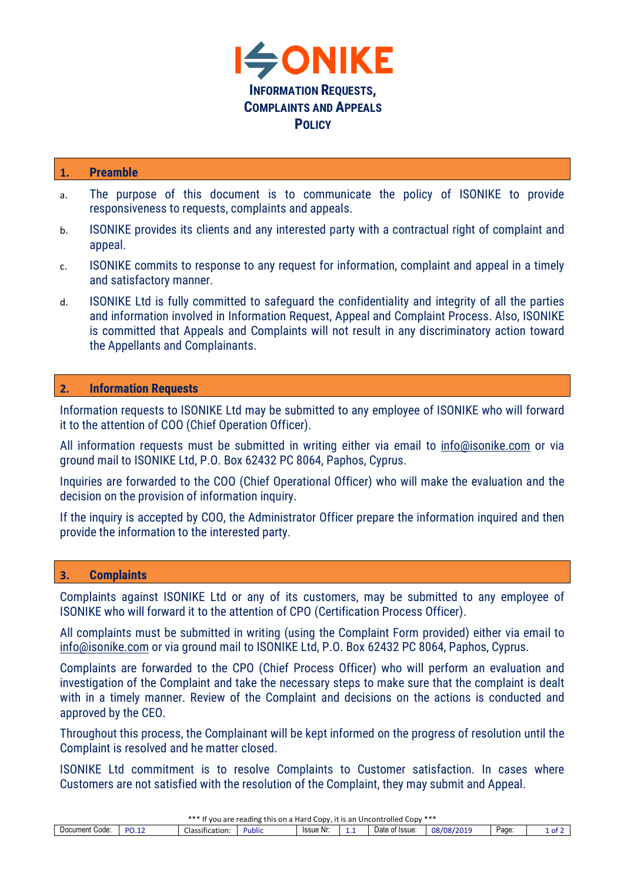

## **1. Preamble**

- a. The purpose of this document is to communicate the policy of ISONIKE to provide responsiveness to requests, complaints and appeals.
- b. ISONIKE provides its clients and any interested party with a contractual right of complaint and appeal.
- c. ISONIKE commits to response to any request for information, complaint and appeal in a timely and satisfactory manner.
- d. ISONIKE Ltd is fully committed to safeguard the confidentiality and integrity of all the parties and information involved in Information Request, Appeal and Complaint Process. Also, ISONIKE is committed that Appeals and Complaints will not result in any discriminatory action toward the Appellants and Complainants.

## **2. Information Requests**

Information requests to ISONIKE Ltd may be submitted to any employee of ISONIKE who will forward it to the attention of COO (Chief Operation Officer).

All information requests must be submitted in writing either via email to info@isonike.com or via ground mail to ISONIKE Ltd, P.O. Box 62432 PC 8064, Paphos, Cyprus.

Inquiries are forwarded to the COO (Chief Operational Officer) who will make the evaluation and the decision on the provision of information inquiry.

If the inquiry is accepted by COO, the Administrator Officer prepare the information inquired and then provide the information to the interested party.

## **3. Complaints**

Complaints against ISONIKE Ltd or any of its customers, may be submitted to any employee of ISONIKE who will forward it to the attention of CPO (Certification Process Officer).

All complaints must be submitted in writing (using the Complaint Form provided) either via email to info@isonike.com or via ground mail to ISONIKE Ltd, P.O. Box 62432 PC 8064, Paphos, Cyprus.

Complaints are forwarded to the CPO (Chief Process Officer) who will perform an evaluation and investigation of the Complaint and take the necessary steps to make sure that the complaint is dealt with in a timely manner. Review of the Complaint and decisions on the actions is conducted and approved by the CEO.

Throughout this process, the Complainant will be kept informed on the progress of resolution until the Complaint is resolved and he matter closed.

ISONIKE Ltd commitment is to resolve Complaints to Customer satisfaction. In cases where Customers are not satisfied with the resolution of the Complaint, they may submit and Appeal.

| . .<br>***<br>$\text{Conv}$ ***<br>Uncontrolled<br>Hard<br>. eading *<br>CODV<br>$+$<br>this<br>it is an<br>vou are<br>. ro<br>on a<br>. |                         |                                |                    |                  |   |                |                                |      |      |  |  |
|------------------------------------------------------------------------------------------------------------------------------------------|-------------------------|--------------------------------|--------------------|------------------|---|----------------|--------------------------------|------|------|--|--|
| Document<br>Code                                                                                                                         | . . -<br>n c<br>.<br>◡… | $\sim$<br>.<br>Classification: | $\cdots$<br>Public | <b>Issue Nr.</b> | . | Date of Issue: | J8/08/21<br>$\cdots$<br>, 201. | Page | . ot |  |  |